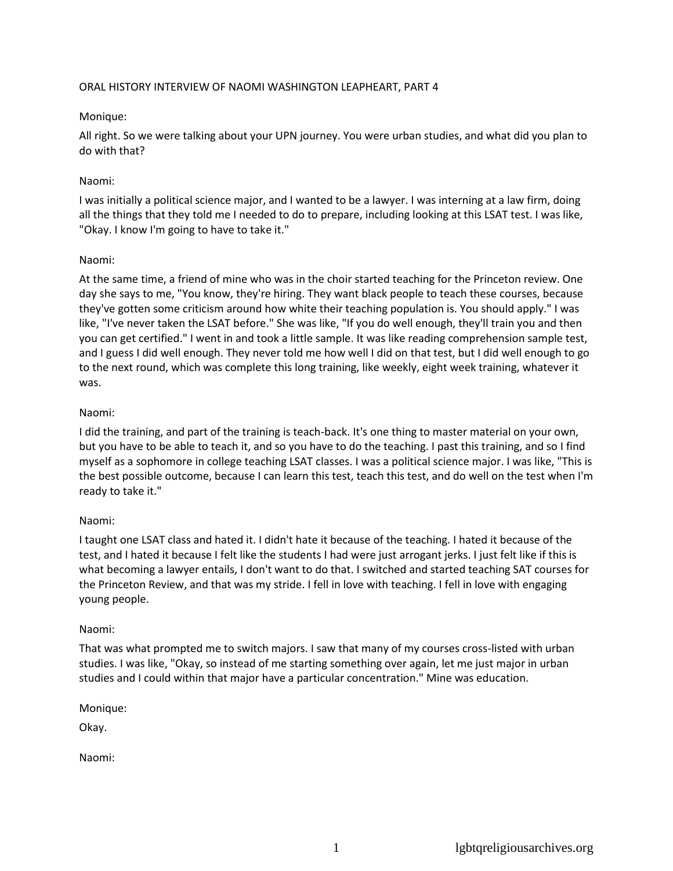### ORAL HISTORY INTERVIEW OF NAOMI WASHINGTON LEAPHEART, PART 4

## Monique:

All right. So we were talking about your UPN journey. You were urban studies, and what did you plan to do with that?

## Naomi:

I was initially a political science major, and I wanted to be a lawyer. I was interning at a law firm, doing all the things that they told me I needed to do to prepare, including looking at this LSAT test. I was like, "Okay. I know I'm going to have to take it."

## Naomi:

At the same time, a friend of mine who was in the choir started teaching for the Princeton review. One day she says to me, "You know, they're hiring. They want black people to teach these courses, because they've gotten some criticism around how white their teaching population is. You should apply." I was like, "I've never taken the LSAT before." She was like, "If you do well enough, they'll train you and then you can get certified." I went in and took a little sample. It was like reading comprehension sample test, and I guess I did well enough. They never told me how well I did on that test, but I did well enough to go to the next round, which was complete this long training, like weekly, eight week training, whatever it was.

## Naomi:

I did the training, and part of the training is teach-back. It's one thing to master material on your own, but you have to be able to teach it, and so you have to do the teaching. I past this training, and so I find myself as a sophomore in college teaching LSAT classes. I was a political science major. I was like, "This is the best possible outcome, because I can learn this test, teach this test, and do well on the test when I'm ready to take it."

## Naomi:

I taught one LSAT class and hated it. I didn't hate it because of the teaching. I hated it because of the test, and I hated it because I felt like the students I had were just arrogant jerks. I just felt like if this is what becoming a lawyer entails, I don't want to do that. I switched and started teaching SAT courses for the Princeton Review, and that was my stride. I fell in love with teaching. I fell in love with engaging young people.

### Naomi:

That was what prompted me to switch majors. I saw that many of my courses cross-listed with urban studies. I was like, "Okay, so instead of me starting something over again, let me just major in urban studies and I could within that major have a particular concentration." Mine was education.

### Monique:

Okay.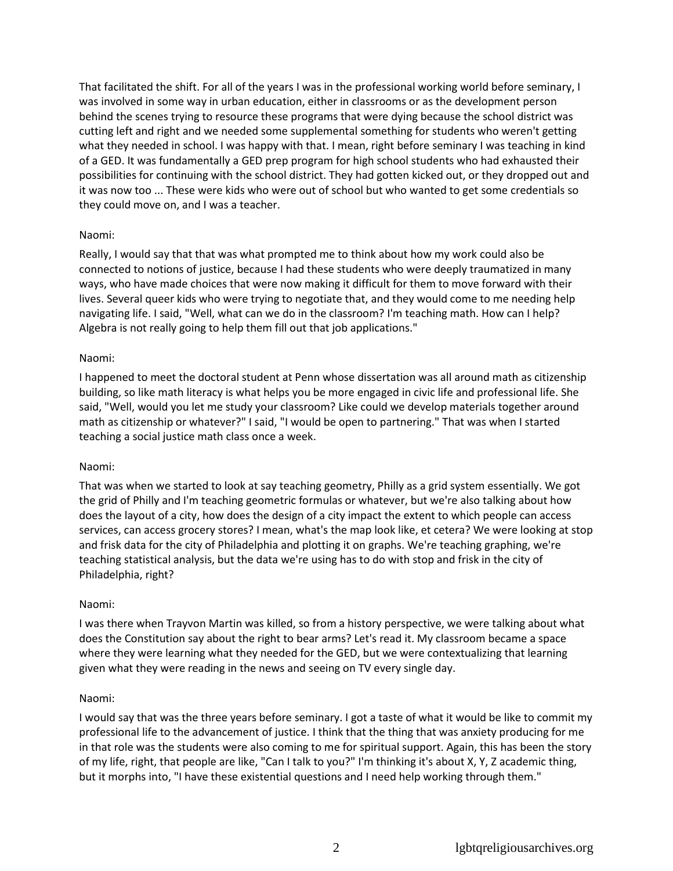That facilitated the shift. For all of the years I was in the professional working world before seminary, I was involved in some way in urban education, either in classrooms or as the development person behind the scenes trying to resource these programs that were dying because the school district was cutting left and right and we needed some supplemental something for students who weren't getting what they needed in school. I was happy with that. I mean, right before seminary I was teaching in kind of a GED. It was fundamentally a GED prep program for high school students who had exhausted their possibilities for continuing with the school district. They had gotten kicked out, or they dropped out and it was now too ... These were kids who were out of school but who wanted to get some credentials so they could move on, and I was a teacher.

## Naomi:

Really, I would say that that was what prompted me to think about how my work could also be connected to notions of justice, because I had these students who were deeply traumatized in many ways, who have made choices that were now making it difficult for them to move forward with their lives. Several queer kids who were trying to negotiate that, and they would come to me needing help navigating life. I said, "Well, what can we do in the classroom? I'm teaching math. How can I help? Algebra is not really going to help them fill out that job applications."

### Naomi:

I happened to meet the doctoral student at Penn whose dissertation was all around math as citizenship building, so like math literacy is what helps you be more engaged in civic life and professional life. She said, "Well, would you let me study your classroom? Like could we develop materials together around math as citizenship or whatever?" I said, "I would be open to partnering." That was when I started teaching a social justice math class once a week.

### Naomi:

That was when we started to look at say teaching geometry, Philly as a grid system essentially. We got the grid of Philly and I'm teaching geometric formulas or whatever, but we're also talking about how does the layout of a city, how does the design of a city impact the extent to which people can access services, can access grocery stores? I mean, what's the map look like, et cetera? We were looking at stop and frisk data for the city of Philadelphia and plotting it on graphs. We're teaching graphing, we're teaching statistical analysis, but the data we're using has to do with stop and frisk in the city of Philadelphia, right?

### Naomi:

I was there when Trayvon Martin was killed, so from a history perspective, we were talking about what does the Constitution say about the right to bear arms? Let's read it. My classroom became a space where they were learning what they needed for the GED, but we were contextualizing that learning given what they were reading in the news and seeing on TV every single day.

### Naomi:

I would say that was the three years before seminary. I got a taste of what it would be like to commit my professional life to the advancement of justice. I think that the thing that was anxiety producing for me in that role was the students were also coming to me for spiritual support. Again, this has been the story of my life, right, that people are like, "Can I talk to you?" I'm thinking it's about X, Y, Z academic thing, but it morphs into, "I have these existential questions and I need help working through them."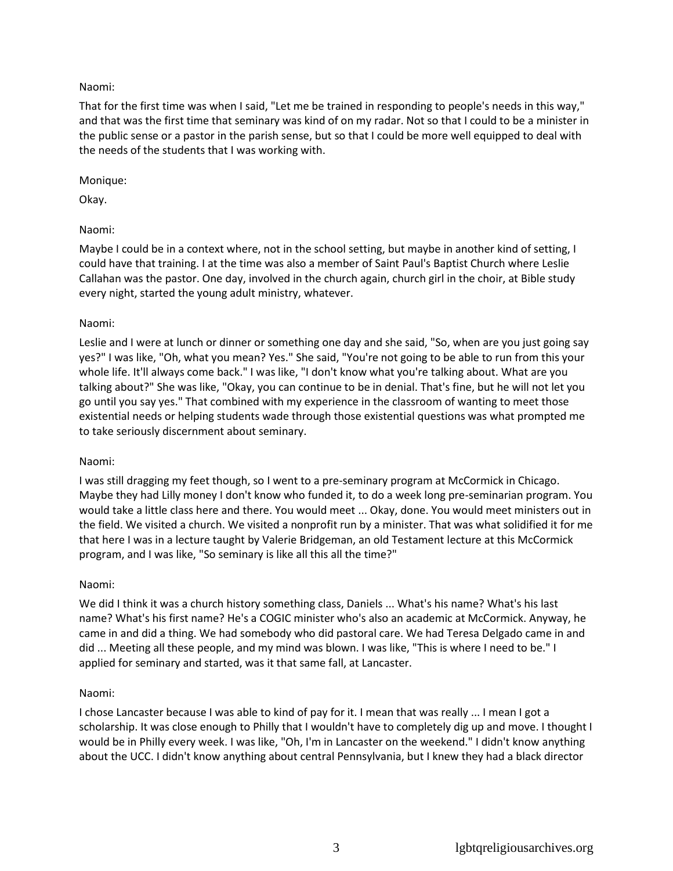## Naomi:

That for the first time was when I said, "Let me be trained in responding to people's needs in this way," and that was the first time that seminary was kind of on my radar. Not so that I could to be a minister in the public sense or a pastor in the parish sense, but so that I could be more well equipped to deal with the needs of the students that I was working with.

### Monique:

Okay.

## Naomi:

Maybe I could be in a context where, not in the school setting, but maybe in another kind of setting, I could have that training. I at the time was also a member of Saint Paul's Baptist Church where Leslie Callahan was the pastor. One day, involved in the church again, church girl in the choir, at Bible study every night, started the young adult ministry, whatever.

## Naomi:

Leslie and I were at lunch or dinner or something one day and she said, "So, when are you just going say yes?" I was like, "Oh, what you mean? Yes." She said, "You're not going to be able to run from this your whole life. It'll always come back." I was like, "I don't know what you're talking about. What are you talking about?" She was like, "Okay, you can continue to be in denial. That's fine, but he will not let you go until you say yes." That combined with my experience in the classroom of wanting to meet those existential needs or helping students wade through those existential questions was what prompted me to take seriously discernment about seminary.

### Naomi:

I was still dragging my feet though, so I went to a pre-seminary program at McCormick in Chicago. Maybe they had Lilly money I don't know who funded it, to do a week long pre-seminarian program. You would take a little class here and there. You would meet ... Okay, done. You would meet ministers out in the field. We visited a church. We visited a nonprofit run by a minister. That was what solidified it for me that here I was in a lecture taught by Valerie Bridgeman, an old Testament lecture at this McCormick program, and I was like, "So seminary is like all this all the time?"

### Naomi:

We did I think it was a church history something class, Daniels ... What's his name? What's his last name? What's his first name? He's a COGIC minister who's also an academic at McCormick. Anyway, he came in and did a thing. We had somebody who did pastoral care. We had Teresa Delgado came in and did ... Meeting all these people, and my mind was blown. I was like, "This is where I need to be." I applied for seminary and started, was it that same fall, at Lancaster.

### Naomi:

I chose Lancaster because I was able to kind of pay for it. I mean that was really ... I mean I got a scholarship. It was close enough to Philly that I wouldn't have to completely dig up and move. I thought I would be in Philly every week. I was like, "Oh, I'm in Lancaster on the weekend." I didn't know anything about the UCC. I didn't know anything about central Pennsylvania, but I knew they had a black director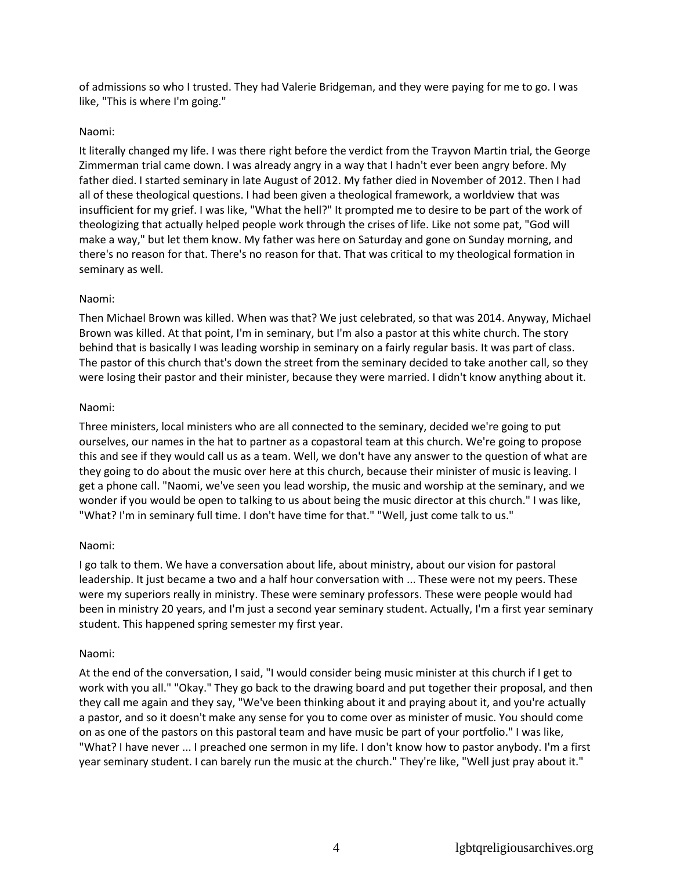of admissions so who I trusted. They had Valerie Bridgeman, and they were paying for me to go. I was like, "This is where I'm going."

### Naomi:

It literally changed my life. I was there right before the verdict from the Trayvon Martin trial, the George Zimmerman trial came down. I was already angry in a way that I hadn't ever been angry before. My father died. I started seminary in late August of 2012. My father died in November of 2012. Then I had all of these theological questions. I had been given a theological framework, a worldview that was insufficient for my grief. I was like, "What the hell?" It prompted me to desire to be part of the work of theologizing that actually helped people work through the crises of life. Like not some pat, "God will make a way," but let them know. My father was here on Saturday and gone on Sunday morning, and there's no reason for that. There's no reason for that. That was critical to my theological formation in seminary as well.

## Naomi:

Then Michael Brown was killed. When was that? We just celebrated, so that was 2014. Anyway, Michael Brown was killed. At that point, I'm in seminary, but I'm also a pastor at this white church. The story behind that is basically I was leading worship in seminary on a fairly regular basis. It was part of class. The pastor of this church that's down the street from the seminary decided to take another call, so they were losing their pastor and their minister, because they were married. I didn't know anything about it.

## Naomi:

Three ministers, local ministers who are all connected to the seminary, decided we're going to put ourselves, our names in the hat to partner as a copastoral team at this church. We're going to propose this and see if they would call us as a team. Well, we don't have any answer to the question of what are they going to do about the music over here at this church, because their minister of music is leaving. I get a phone call. "Naomi, we've seen you lead worship, the music and worship at the seminary, and we wonder if you would be open to talking to us about being the music director at this church." I was like, "What? I'm in seminary full time. I don't have time for that." "Well, just come talk to us."

### Naomi:

I go talk to them. We have a conversation about life, about ministry, about our vision for pastoral leadership. It just became a two and a half hour conversation with ... These were not my peers. These were my superiors really in ministry. These were seminary professors. These were people would had been in ministry 20 years, and I'm just a second year seminary student. Actually, I'm a first year seminary student. This happened spring semester my first year.

### Naomi:

At the end of the conversation, I said, "I would consider being music minister at this church if I get to work with you all." "Okay." They go back to the drawing board and put together their proposal, and then they call me again and they say, "We've been thinking about it and praying about it, and you're actually a pastor, and so it doesn't make any sense for you to come over as minister of music. You should come on as one of the pastors on this pastoral team and have music be part of your portfolio." I was like, "What? I have never ... I preached one sermon in my life. I don't know how to pastor anybody. I'm a first year seminary student. I can barely run the music at the church." They're like, "Well just pray about it."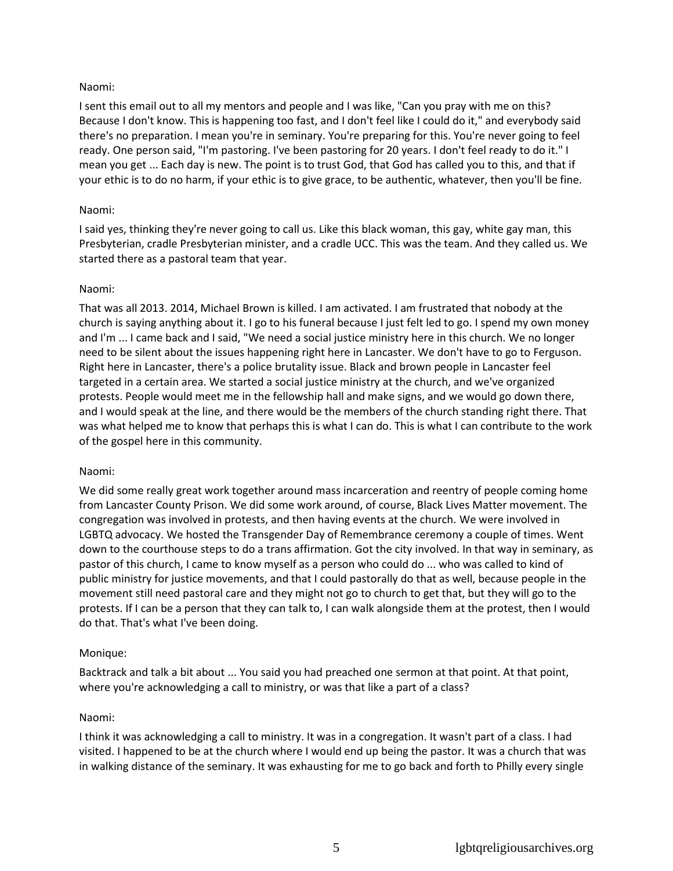## Naomi:

I sent this email out to all my mentors and people and I was like, "Can you pray with me on this? Because I don't know. This is happening too fast, and I don't feel like I could do it," and everybody said there's no preparation. I mean you're in seminary. You're preparing for this. You're never going to feel ready. One person said, "I'm pastoring. I've been pastoring for 20 years. I don't feel ready to do it." I mean you get ... Each day is new. The point is to trust God, that God has called you to this, and that if your ethic is to do no harm, if your ethic is to give grace, to be authentic, whatever, then you'll be fine.

### Naomi:

I said yes, thinking they're never going to call us. Like this black woman, this gay, white gay man, this Presbyterian, cradle Presbyterian minister, and a cradle UCC. This was the team. And they called us. We started there as a pastoral team that year.

### Naomi:

That was all 2013. 2014, Michael Brown is killed. I am activated. I am frustrated that nobody at the church is saying anything about it. I go to his funeral because I just felt led to go. I spend my own money and I'm ... I came back and I said, "We need a social justice ministry here in this church. We no longer need to be silent about the issues happening right here in Lancaster. We don't have to go to Ferguson. Right here in Lancaster, there's a police brutality issue. Black and brown people in Lancaster feel targeted in a certain area. We started a social justice ministry at the church, and we've organized protests. People would meet me in the fellowship hall and make signs, and we would go down there, and I would speak at the line, and there would be the members of the church standing right there. That was what helped me to know that perhaps this is what I can do. This is what I can contribute to the work of the gospel here in this community.

### Naomi:

We did some really great work together around mass incarceration and reentry of people coming home from Lancaster County Prison. We did some work around, of course, Black Lives Matter movement. The congregation was involved in protests, and then having events at the church. We were involved in LGBTQ advocacy. We hosted the Transgender Day of Remembrance ceremony a couple of times. Went down to the courthouse steps to do a trans affirmation. Got the city involved. In that way in seminary, as pastor of this church, I came to know myself as a person who could do ... who was called to kind of public ministry for justice movements, and that I could pastorally do that as well, because people in the movement still need pastoral care and they might not go to church to get that, but they will go to the protests. If I can be a person that they can talk to, I can walk alongside them at the protest, then I would do that. That's what I've been doing.

### Monique:

Backtrack and talk a bit about ... You said you had preached one sermon at that point. At that point, where you're acknowledging a call to ministry, or was that like a part of a class?

### Naomi:

I think it was acknowledging a call to ministry. It was in a congregation. It wasn't part of a class. I had visited. I happened to be at the church where I would end up being the pastor. It was a church that was in walking distance of the seminary. It was exhausting for me to go back and forth to Philly every single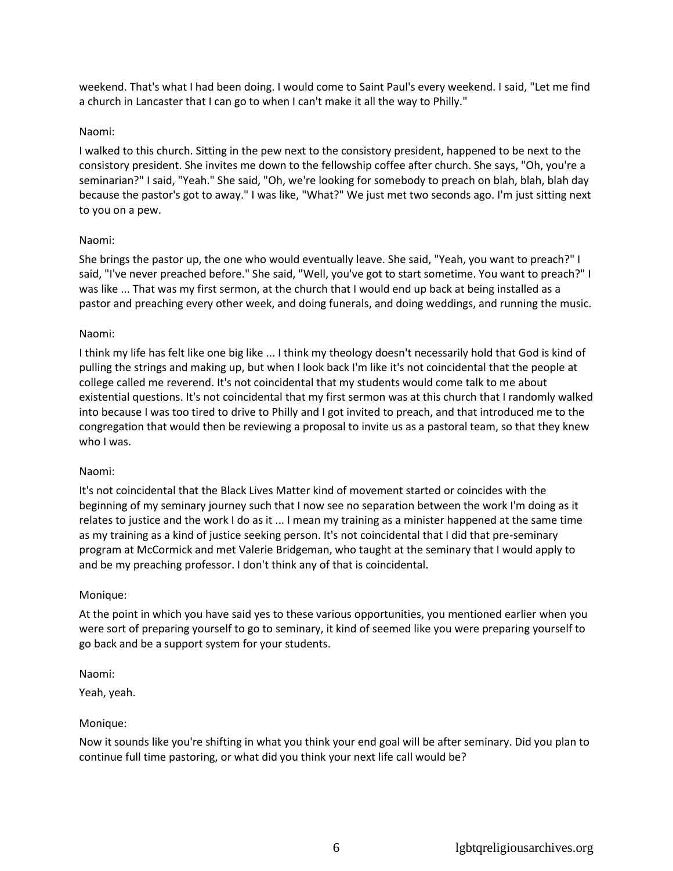weekend. That's what I had been doing. I would come to Saint Paul's every weekend. I said, "Let me find a church in Lancaster that I can go to when I can't make it all the way to Philly."

### Naomi:

I walked to this church. Sitting in the pew next to the consistory president, happened to be next to the consistory president. She invites me down to the fellowship coffee after church. She says, "Oh, you're a seminarian?" I said, "Yeah." She said, "Oh, we're looking for somebody to preach on blah, blah, blah day because the pastor's got to away." I was like, "What?" We just met two seconds ago. I'm just sitting next to you on a pew.

## Naomi:

She brings the pastor up, the one who would eventually leave. She said, "Yeah, you want to preach?" I said, "I've never preached before." She said, "Well, you've got to start sometime. You want to preach?" I was like ... That was my first sermon, at the church that I would end up back at being installed as a pastor and preaching every other week, and doing funerals, and doing weddings, and running the music.

## Naomi:

I think my life has felt like one big like ... I think my theology doesn't necessarily hold that God is kind of pulling the strings and making up, but when I look back I'm like it's not coincidental that the people at college called me reverend. It's not coincidental that my students would come talk to me about existential questions. It's not coincidental that my first sermon was at this church that I randomly walked into because I was too tired to drive to Philly and I got invited to preach, and that introduced me to the congregation that would then be reviewing a proposal to invite us as a pastoral team, so that they knew who I was.

### Naomi:

It's not coincidental that the Black Lives Matter kind of movement started or coincides with the beginning of my seminary journey such that I now see no separation between the work I'm doing as it relates to justice and the work I do as it ... I mean my training as a minister happened at the same time as my training as a kind of justice seeking person. It's not coincidental that I did that pre-seminary program at McCormick and met Valerie Bridgeman, who taught at the seminary that I would apply to and be my preaching professor. I don't think any of that is coincidental.

### Monique:

At the point in which you have said yes to these various opportunities, you mentioned earlier when you were sort of preparing yourself to go to seminary, it kind of seemed like you were preparing yourself to go back and be a support system for your students.

### Naomi:

Yeah, yeah.

### Monique:

Now it sounds like you're shifting in what you think your end goal will be after seminary. Did you plan to continue full time pastoring, or what did you think your next life call would be?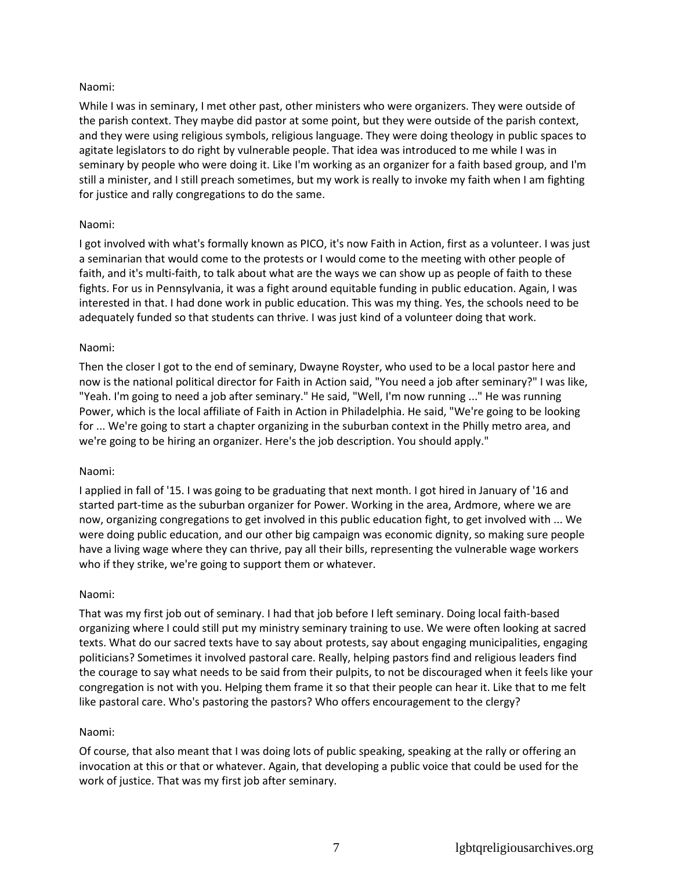## Naomi:

While I was in seminary, I met other past, other ministers who were organizers. They were outside of the parish context. They maybe did pastor at some point, but they were outside of the parish context, and they were using religious symbols, religious language. They were doing theology in public spaces to agitate legislators to do right by vulnerable people. That idea was introduced to me while I was in seminary by people who were doing it. Like I'm working as an organizer for a faith based group, and I'm still a minister, and I still preach sometimes, but my work is really to invoke my faith when I am fighting for justice and rally congregations to do the same.

## Naomi:

I got involved with what's formally known as PICO, it's now Faith in Action, first as a volunteer. I was just a seminarian that would come to the protests or I would come to the meeting with other people of faith, and it's multi-faith, to talk about what are the ways we can show up as people of faith to these fights. For us in Pennsylvania, it was a fight around equitable funding in public education. Again, I was interested in that. I had done work in public education. This was my thing. Yes, the schools need to be adequately funded so that students can thrive. I was just kind of a volunteer doing that work.

## Naomi:

Then the closer I got to the end of seminary, Dwayne Royster, who used to be a local pastor here and now is the national political director for Faith in Action said, "You need a job after seminary?" I was like, "Yeah. I'm going to need a job after seminary." He said, "Well, I'm now running ..." He was running Power, which is the local affiliate of Faith in Action in Philadelphia. He said, "We're going to be looking for ... We're going to start a chapter organizing in the suburban context in the Philly metro area, and we're going to be hiring an organizer. Here's the job description. You should apply."

### Naomi:

I applied in fall of '15. I was going to be graduating that next month. I got hired in January of '16 and started part-time as the suburban organizer for Power. Working in the area, Ardmore, where we are now, organizing congregations to get involved in this public education fight, to get involved with ... We were doing public education, and our other big campaign was economic dignity, so making sure people have a living wage where they can thrive, pay all their bills, representing the vulnerable wage workers who if they strike, we're going to support them or whatever.

### Naomi:

That was my first job out of seminary. I had that job before I left seminary. Doing local faith-based organizing where I could still put my ministry seminary training to use. We were often looking at sacred texts. What do our sacred texts have to say about protests, say about engaging municipalities, engaging politicians? Sometimes it involved pastoral care. Really, helping pastors find and religious leaders find the courage to say what needs to be said from their pulpits, to not be discouraged when it feels like your congregation is not with you. Helping them frame it so that their people can hear it. Like that to me felt like pastoral care. Who's pastoring the pastors? Who offers encouragement to the clergy?

### Naomi:

Of course, that also meant that I was doing lots of public speaking, speaking at the rally or offering an invocation at this or that or whatever. Again, that developing a public voice that could be used for the work of justice. That was my first job after seminary.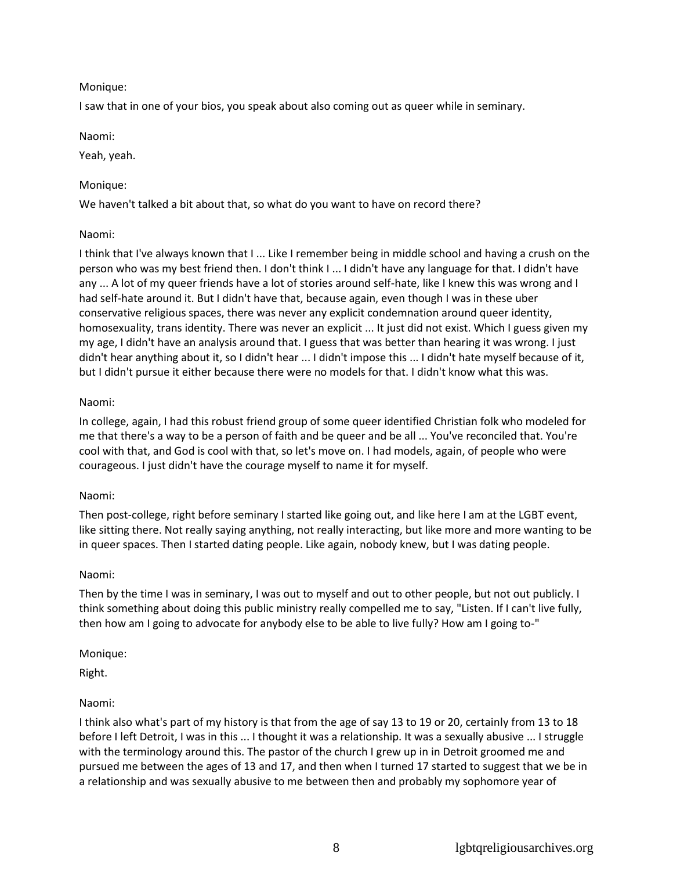## Monique:

I saw that in one of your bios, you speak about also coming out as queer while in seminary.

Naomi:

Yeah, yeah.

## Monique:

We haven't talked a bit about that, so what do you want to have on record there?

## Naomi:

I think that I've always known that I ... Like I remember being in middle school and having a crush on the person who was my best friend then. I don't think I ... I didn't have any language for that. I didn't have any ... A lot of my queer friends have a lot of stories around self-hate, like I knew this was wrong and I had self-hate around it. But I didn't have that, because again, even though I was in these uber conservative religious spaces, there was never any explicit condemnation around queer identity, homosexuality, trans identity. There was never an explicit ... It just did not exist. Which I guess given my my age, I didn't have an analysis around that. I guess that was better than hearing it was wrong. I just didn't hear anything about it, so I didn't hear ... I didn't impose this ... I didn't hate myself because of it, but I didn't pursue it either because there were no models for that. I didn't know what this was.

## Naomi:

In college, again, I had this robust friend group of some queer identified Christian folk who modeled for me that there's a way to be a person of faith and be queer and be all ... You've reconciled that. You're cool with that, and God is cool with that, so let's move on. I had models, again, of people who were courageous. I just didn't have the courage myself to name it for myself.

## Naomi:

Then post-college, right before seminary I started like going out, and like here I am at the LGBT event, like sitting there. Not really saying anything, not really interacting, but like more and more wanting to be in queer spaces. Then I started dating people. Like again, nobody knew, but I was dating people.

## Naomi:

Then by the time I was in seminary, I was out to myself and out to other people, but not out publicly. I think something about doing this public ministry really compelled me to say, "Listen. If I can't live fully, then how am I going to advocate for anybody else to be able to live fully? How am I going to-"

## Monique:

Right.

## Naomi:

I think also what's part of my history is that from the age of say 13 to 19 or 20, certainly from 13 to 18 before I left Detroit, I was in this ... I thought it was a relationship. It was a sexually abusive ... I struggle with the terminology around this. The pastor of the church I grew up in in Detroit groomed me and pursued me between the ages of 13 and 17, and then when I turned 17 started to suggest that we be in a relationship and was sexually abusive to me between then and probably my sophomore year of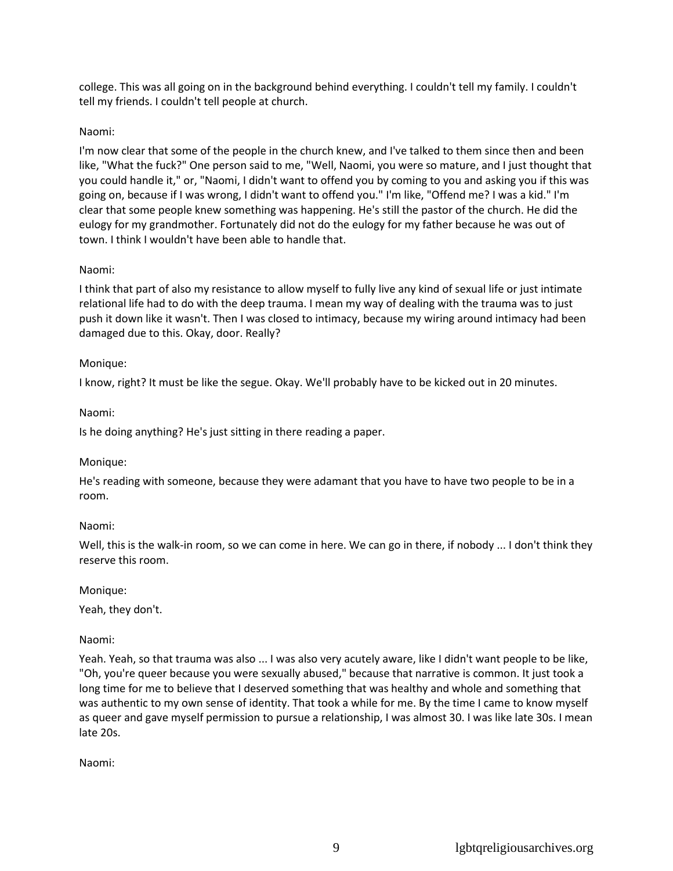college. This was all going on in the background behind everything. I couldn't tell my family. I couldn't tell my friends. I couldn't tell people at church.

## Naomi:

I'm now clear that some of the people in the church knew, and I've talked to them since then and been like, "What the fuck?" One person said to me, "Well, Naomi, you were so mature, and I just thought that you could handle it," or, "Naomi, I didn't want to offend you by coming to you and asking you if this was going on, because if I was wrong, I didn't want to offend you." I'm like, "Offend me? I was a kid." I'm clear that some people knew something was happening. He's still the pastor of the church. He did the eulogy for my grandmother. Fortunately did not do the eulogy for my father because he was out of town. I think I wouldn't have been able to handle that.

## Naomi:

I think that part of also my resistance to allow myself to fully live any kind of sexual life or just intimate relational life had to do with the deep trauma. I mean my way of dealing with the trauma was to just push it down like it wasn't. Then I was closed to intimacy, because my wiring around intimacy had been damaged due to this. Okay, door. Really?

## Monique:

I know, right? It must be like the segue. Okay. We'll probably have to be kicked out in 20 minutes.

## Naomi:

Is he doing anything? He's just sitting in there reading a paper.

### Monique:

He's reading with someone, because they were adamant that you have to have two people to be in a room.

### Naomi:

Well, this is the walk-in room, so we can come in here. We can go in there, if nobody ... I don't think they reserve this room.

### Monique:

Yeah, they don't.

## Naomi:

Yeah. Yeah, so that trauma was also ... I was also very acutely aware, like I didn't want people to be like, "Oh, you're queer because you were sexually abused," because that narrative is common. It just took a long time for me to believe that I deserved something that was healthy and whole and something that was authentic to my own sense of identity. That took a while for me. By the time I came to know myself as queer and gave myself permission to pursue a relationship, I was almost 30. I was like late 30s. I mean late 20s.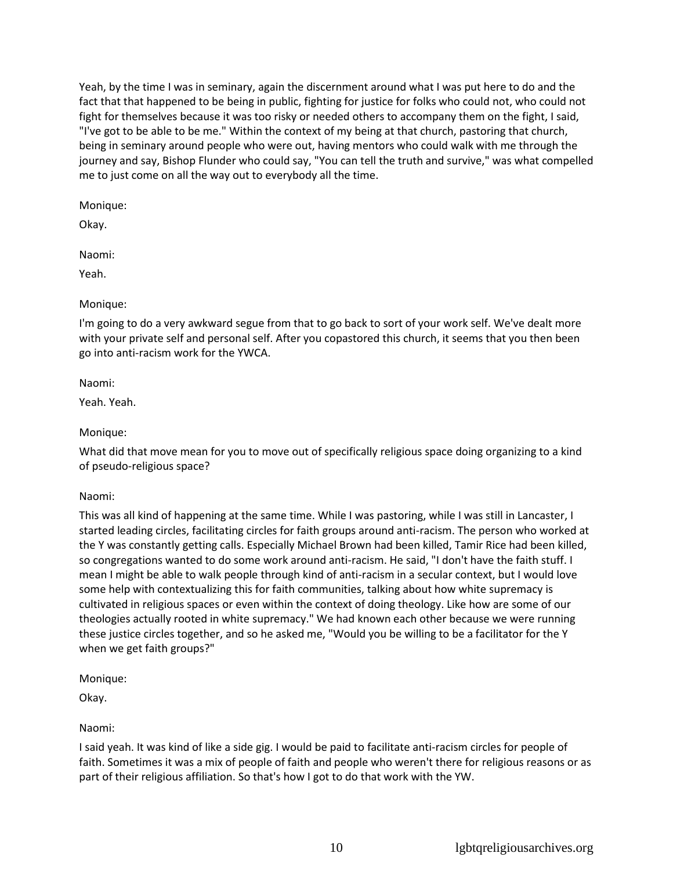Yeah, by the time I was in seminary, again the discernment around what I was put here to do and the fact that that happened to be being in public, fighting for justice for folks who could not, who could not fight for themselves because it was too risky or needed others to accompany them on the fight, I said, "I've got to be able to be me." Within the context of my being at that church, pastoring that church, being in seminary around people who were out, having mentors who could walk with me through the journey and say, Bishop Flunder who could say, "You can tell the truth and survive," was what compelled me to just come on all the way out to everybody all the time.

Monique:

Okay.

Naomi:

Yeah.

## Monique:

I'm going to do a very awkward segue from that to go back to sort of your work self. We've dealt more with your private self and personal self. After you copastored this church, it seems that you then been go into anti-racism work for the YWCA.

Naomi:

Yeah. Yeah.

## Monique:

What did that move mean for you to move out of specifically religious space doing organizing to a kind of pseudo-religious space?

## Naomi:

This was all kind of happening at the same time. While I was pastoring, while I was still in Lancaster, I started leading circles, facilitating circles for faith groups around anti-racism. The person who worked at the Y was constantly getting calls. Especially Michael Brown had been killed, Tamir Rice had been killed, so congregations wanted to do some work around anti-racism. He said, "I don't have the faith stuff. I mean I might be able to walk people through kind of anti-racism in a secular context, but I would love some help with contextualizing this for faith communities, talking about how white supremacy is cultivated in religious spaces or even within the context of doing theology. Like how are some of our theologies actually rooted in white supremacy." We had known each other because we were running these justice circles together, and so he asked me, "Would you be willing to be a facilitator for the Y when we get faith groups?"

Monique:

Okay.

## Naomi:

I said yeah. It was kind of like a side gig. I would be paid to facilitate anti-racism circles for people of faith. Sometimes it was a mix of people of faith and people who weren't there for religious reasons or as part of their religious affiliation. So that's how I got to do that work with the YW.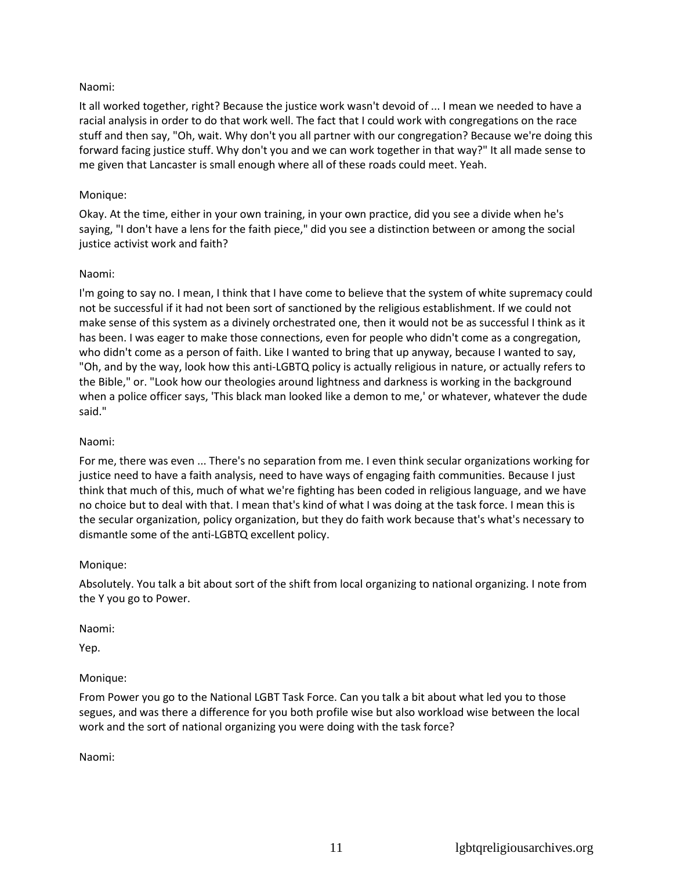## Naomi:

It all worked together, right? Because the justice work wasn't devoid of ... I mean we needed to have a racial analysis in order to do that work well. The fact that I could work with congregations on the race stuff and then say, "Oh, wait. Why don't you all partner with our congregation? Because we're doing this forward facing justice stuff. Why don't you and we can work together in that way?" It all made sense to me given that Lancaster is small enough where all of these roads could meet. Yeah.

### Monique:

Okay. At the time, either in your own training, in your own practice, did you see a divide when he's saying, "I don't have a lens for the faith piece," did you see a distinction between or among the social justice activist work and faith?

## Naomi:

I'm going to say no. I mean, I think that I have come to believe that the system of white supremacy could not be successful if it had not been sort of sanctioned by the religious establishment. If we could not make sense of this system as a divinely orchestrated one, then it would not be as successful I think as it has been. I was eager to make those connections, even for people who didn't come as a congregation, who didn't come as a person of faith. Like I wanted to bring that up anyway, because I wanted to say, "Oh, and by the way, look how this anti-LGBTQ policy is actually religious in nature, or actually refers to the Bible," or. "Look how our theologies around lightness and darkness is working in the background when a police officer says, 'This black man looked like a demon to me,' or whatever, whatever the dude said."

### Naomi:

For me, there was even ... There's no separation from me. I even think secular organizations working for justice need to have a faith analysis, need to have ways of engaging faith communities. Because I just think that much of this, much of what we're fighting has been coded in religious language, and we have no choice but to deal with that. I mean that's kind of what I was doing at the task force. I mean this is the secular organization, policy organization, but they do faith work because that's what's necessary to dismantle some of the anti-LGBTQ excellent policy.

### Monique:

Absolutely. You talk a bit about sort of the shift from local organizing to national organizing. I note from the Y you go to Power.

Naomi:

Yep.

### Monique:

From Power you go to the National LGBT Task Force. Can you talk a bit about what led you to those segues, and was there a difference for you both profile wise but also workload wise between the local work and the sort of national organizing you were doing with the task force?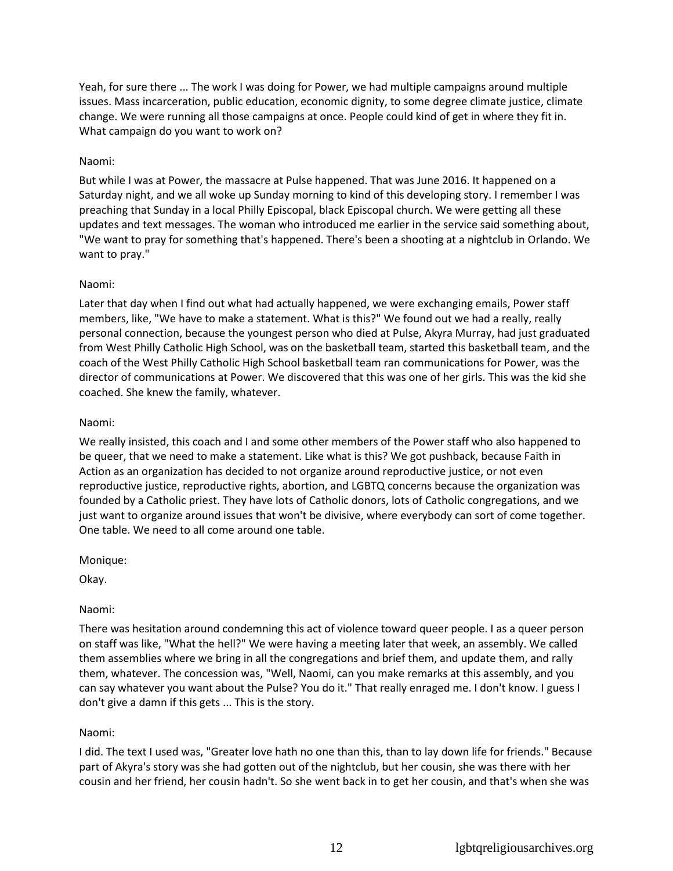Yeah, for sure there ... The work I was doing for Power, we had multiple campaigns around multiple issues. Mass incarceration, public education, economic dignity, to some degree climate justice, climate change. We were running all those campaigns at once. People could kind of get in where they fit in. What campaign do you want to work on?

## Naomi:

But while I was at Power, the massacre at Pulse happened. That was June 2016. It happened on a Saturday night, and we all woke up Sunday morning to kind of this developing story. I remember I was preaching that Sunday in a local Philly Episcopal, black Episcopal church. We were getting all these updates and text messages. The woman who introduced me earlier in the service said something about, "We want to pray for something that's happened. There's been a shooting at a nightclub in Orlando. We want to pray."

### Naomi:

Later that day when I find out what had actually happened, we were exchanging emails, Power staff members, like, "We have to make a statement. What is this?" We found out we had a really, really personal connection, because the youngest person who died at Pulse, Akyra Murray, had just graduated from West Philly Catholic High School, was on the basketball team, started this basketball team, and the coach of the West Philly Catholic High School basketball team ran communications for Power, was the director of communications at Power. We discovered that this was one of her girls. This was the kid she coached. She knew the family, whatever.

#### Naomi:

We really insisted, this coach and I and some other members of the Power staff who also happened to be queer, that we need to make a statement. Like what is this? We got pushback, because Faith in Action as an organization has decided to not organize around reproductive justice, or not even reproductive justice, reproductive rights, abortion, and LGBTQ concerns because the organization was founded by a Catholic priest. They have lots of Catholic donors, lots of Catholic congregations, and we just want to organize around issues that won't be divisive, where everybody can sort of come together. One table. We need to all come around one table.

Monique:

Okay.

### Naomi:

There was hesitation around condemning this act of violence toward queer people. I as a queer person on staff was like, "What the hell?" We were having a meeting later that week, an assembly. We called them assemblies where we bring in all the congregations and brief them, and update them, and rally them, whatever. The concession was, "Well, Naomi, can you make remarks at this assembly, and you can say whatever you want about the Pulse? You do it." That really enraged me. I don't know. I guess I don't give a damn if this gets ... This is the story.

### Naomi:

I did. The text I used was, "Greater love hath no one than this, than to lay down life for friends." Because part of Akyra's story was she had gotten out of the nightclub, but her cousin, she was there with her cousin and her friend, her cousin hadn't. So she went back in to get her cousin, and that's when she was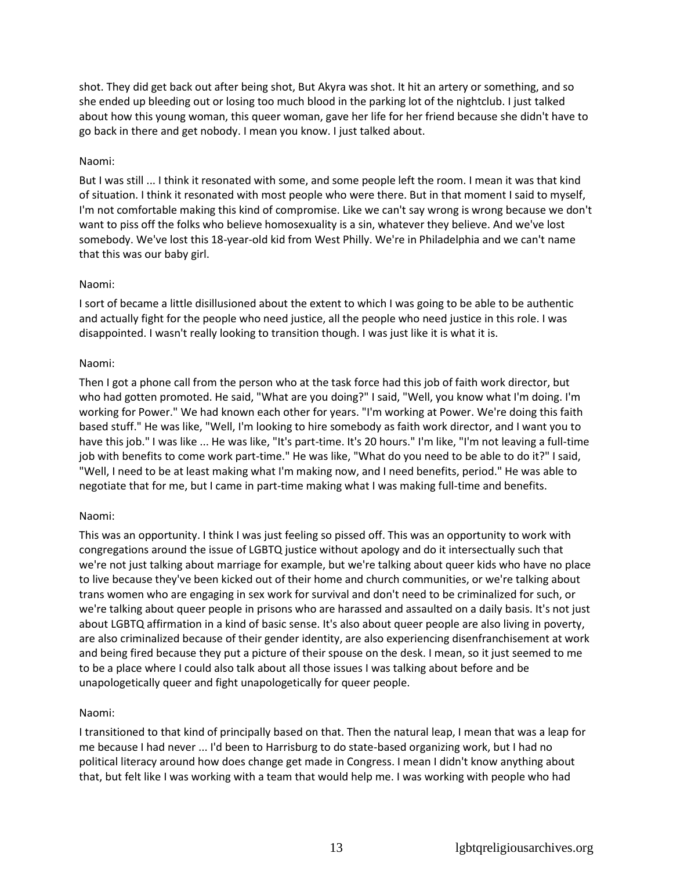shot. They did get back out after being shot, But Akyra was shot. It hit an artery or something, and so she ended up bleeding out or losing too much blood in the parking lot of the nightclub. I just talked about how this young woman, this queer woman, gave her life for her friend because she didn't have to go back in there and get nobody. I mean you know. I just talked about.

## Naomi:

But I was still ... I think it resonated with some, and some people left the room. I mean it was that kind of situation. I think it resonated with most people who were there. But in that moment I said to myself, I'm not comfortable making this kind of compromise. Like we can't say wrong is wrong because we don't want to piss off the folks who believe homosexuality is a sin, whatever they believe. And we've lost somebody. We've lost this 18-year-old kid from West Philly. We're in Philadelphia and we can't name that this was our baby girl.

## Naomi:

I sort of became a little disillusioned about the extent to which I was going to be able to be authentic and actually fight for the people who need justice, all the people who need justice in this role. I was disappointed. I wasn't really looking to transition though. I was just like it is what it is.

## Naomi:

Then I got a phone call from the person who at the task force had this job of faith work director, but who had gotten promoted. He said, "What are you doing?" I said, "Well, you know what I'm doing. I'm working for Power." We had known each other for years. "I'm working at Power. We're doing this faith based stuff." He was like, "Well, I'm looking to hire somebody as faith work director, and I want you to have this job." I was like ... He was like, "It's part-time. It's 20 hours." I'm like, "I'm not leaving a full-time job with benefits to come work part-time." He was like, "What do you need to be able to do it?" I said, "Well, I need to be at least making what I'm making now, and I need benefits, period." He was able to negotiate that for me, but I came in part-time making what I was making full-time and benefits.

### Naomi:

This was an opportunity. I think I was just feeling so pissed off. This was an opportunity to work with congregations around the issue of LGBTQ justice without apology and do it intersectually such that we're not just talking about marriage for example, but we're talking about queer kids who have no place to live because they've been kicked out of their home and church communities, or we're talking about trans women who are engaging in sex work for survival and don't need to be criminalized for such, or we're talking about queer people in prisons who are harassed and assaulted on a daily basis. It's not just about LGBTQ affirmation in a kind of basic sense. It's also about queer people are also living in poverty, are also criminalized because of their gender identity, are also experiencing disenfranchisement at work and being fired because they put a picture of their spouse on the desk. I mean, so it just seemed to me to be a place where I could also talk about all those issues I was talking about before and be unapologetically queer and fight unapologetically for queer people.

## Naomi:

I transitioned to that kind of principally based on that. Then the natural leap, I mean that was a leap for me because I had never ... I'd been to Harrisburg to do state-based organizing work, but I had no political literacy around how does change get made in Congress. I mean I didn't know anything about that, but felt like I was working with a team that would help me. I was working with people who had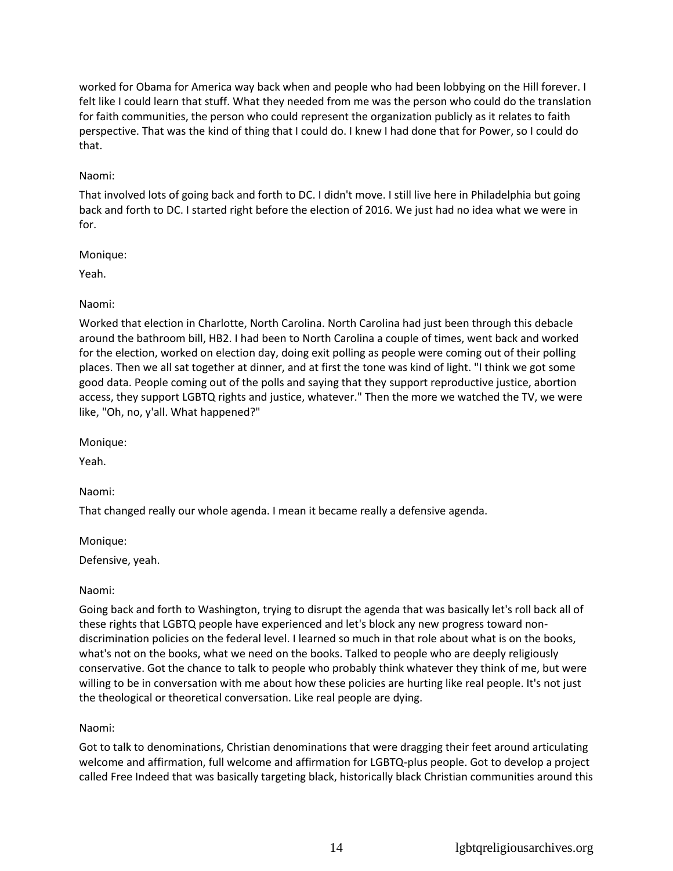worked for Obama for America way back when and people who had been lobbying on the Hill forever. I felt like I could learn that stuff. What they needed from me was the person who could do the translation for faith communities, the person who could represent the organization publicly as it relates to faith perspective. That was the kind of thing that I could do. I knew I had done that for Power, so I could do that.

## Naomi:

That involved lots of going back and forth to DC. I didn't move. I still live here in Philadelphia but going back and forth to DC. I started right before the election of 2016. We just had no idea what we were in for.

## Monique:

Yeah.

# Naomi:

Worked that election in Charlotte, North Carolina. North Carolina had just been through this debacle around the bathroom bill, HB2. I had been to North Carolina a couple of times, went back and worked for the election, worked on election day, doing exit polling as people were coming out of their polling places. Then we all sat together at dinner, and at first the tone was kind of light. "I think we got some good data. People coming out of the polls and saying that they support reproductive justice, abortion access, they support LGBTQ rights and justice, whatever." Then the more we watched the TV, we were like, "Oh, no, y'all. What happened?"

Monique:

Yeah.

Naomi:

That changed really our whole agenda. I mean it became really a defensive agenda.

Monique:

Defensive, yeah.

# Naomi:

Going back and forth to Washington, trying to disrupt the agenda that was basically let's roll back all of these rights that LGBTQ people have experienced and let's block any new progress toward nondiscrimination policies on the federal level. I learned so much in that role about what is on the books, what's not on the books, what we need on the books. Talked to people who are deeply religiously conservative. Got the chance to talk to people who probably think whatever they think of me, but were willing to be in conversation with me about how these policies are hurting like real people. It's not just the theological or theoretical conversation. Like real people are dying.

# Naomi:

Got to talk to denominations, Christian denominations that were dragging their feet around articulating welcome and affirmation, full welcome and affirmation for LGBTQ-plus people. Got to develop a project called Free Indeed that was basically targeting black, historically black Christian communities around this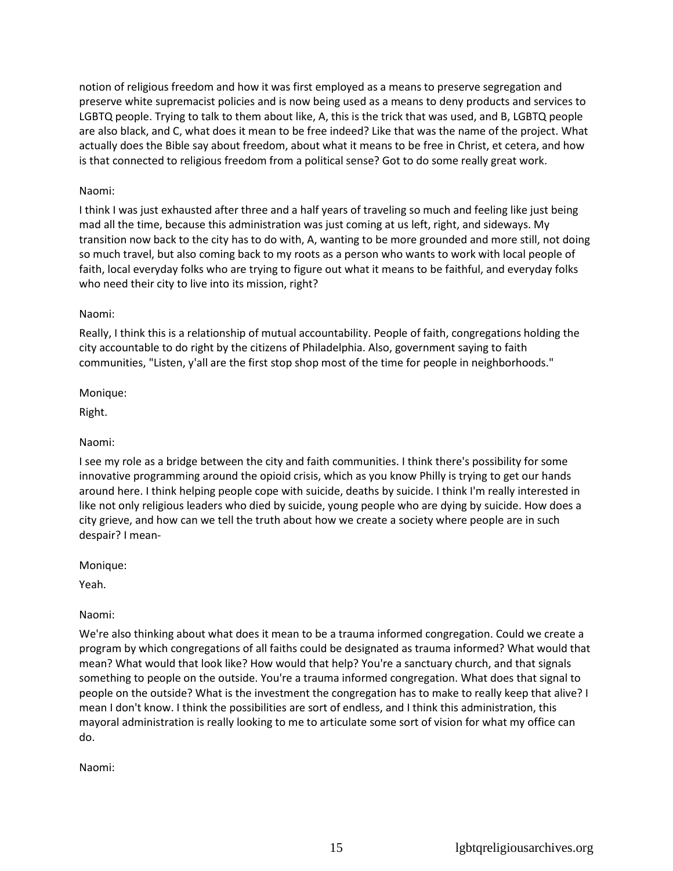notion of religious freedom and how it was first employed as a means to preserve segregation and preserve white supremacist policies and is now being used as a means to deny products and services to LGBTQ people. Trying to talk to them about like, A, this is the trick that was used, and B, LGBTQ people are also black, and C, what does it mean to be free indeed? Like that was the name of the project. What actually does the Bible say about freedom, about what it means to be free in Christ, et cetera, and how is that connected to religious freedom from a political sense? Got to do some really great work.

## Naomi:

I think I was just exhausted after three and a half years of traveling so much and feeling like just being mad all the time, because this administration was just coming at us left, right, and sideways. My transition now back to the city has to do with, A, wanting to be more grounded and more still, not doing so much travel, but also coming back to my roots as a person who wants to work with local people of faith, local everyday folks who are trying to figure out what it means to be faithful, and everyday folks who need their city to live into its mission, right?

## Naomi:

Really, I think this is a relationship of mutual accountability. People of faith, congregations holding the city accountable to do right by the citizens of Philadelphia. Also, government saying to faith communities, "Listen, y'all are the first stop shop most of the time for people in neighborhoods."

### Monique:

Right.

## Naomi:

I see my role as a bridge between the city and faith communities. I think there's possibility for some innovative programming around the opioid crisis, which as you know Philly is trying to get our hands around here. I think helping people cope with suicide, deaths by suicide. I think I'm really interested in like not only religious leaders who died by suicide, young people who are dying by suicide. How does a city grieve, and how can we tell the truth about how we create a society where people are in such despair? I mean-

### Monique:

Yeah.

## Naomi:

We're also thinking about what does it mean to be a trauma informed congregation. Could we create a program by which congregations of all faiths could be designated as trauma informed? What would that mean? What would that look like? How would that help? You're a sanctuary church, and that signals something to people on the outside. You're a trauma informed congregation. What does that signal to people on the outside? What is the investment the congregation has to make to really keep that alive? I mean I don't know. I think the possibilities are sort of endless, and I think this administration, this mayoral administration is really looking to me to articulate some sort of vision for what my office can do.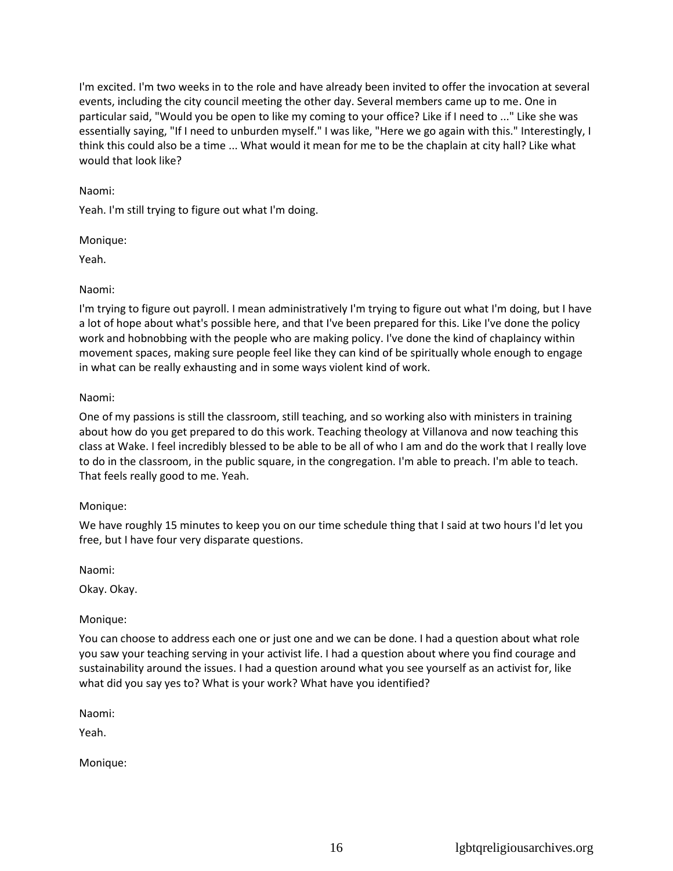I'm excited. I'm two weeks in to the role and have already been invited to offer the invocation at several events, including the city council meeting the other day. Several members came up to me. One in particular said, "Would you be open to like my coming to your office? Like if I need to ..." Like she was essentially saying, "If I need to unburden myself." I was like, "Here we go again with this." Interestingly, I think this could also be a time ... What would it mean for me to be the chaplain at city hall? Like what would that look like?

### Naomi:

Yeah. I'm still trying to figure out what I'm doing.

Monique:

Yeah.

### Naomi:

I'm trying to figure out payroll. I mean administratively I'm trying to figure out what I'm doing, but I have a lot of hope about what's possible here, and that I've been prepared for this. Like I've done the policy work and hobnobbing with the people who are making policy. I've done the kind of chaplaincy within movement spaces, making sure people feel like they can kind of be spiritually whole enough to engage in what can be really exhausting and in some ways violent kind of work.

### Naomi:

One of my passions is still the classroom, still teaching, and so working also with ministers in training about how do you get prepared to do this work. Teaching theology at Villanova and now teaching this class at Wake. I feel incredibly blessed to be able to be all of who I am and do the work that I really love to do in the classroom, in the public square, in the congregation. I'm able to preach. I'm able to teach. That feels really good to me. Yeah.

### Monique:

We have roughly 15 minutes to keep you on our time schedule thing that I said at two hours I'd let you free, but I have four very disparate questions.

Naomi:

Okay. Okay.

## Monique:

You can choose to address each one or just one and we can be done. I had a question about what role you saw your teaching serving in your activist life. I had a question about where you find courage and sustainability around the issues. I had a question around what you see yourself as an activist for, like what did you say yes to? What is your work? What have you identified?

Naomi:

Yeah.

Monique: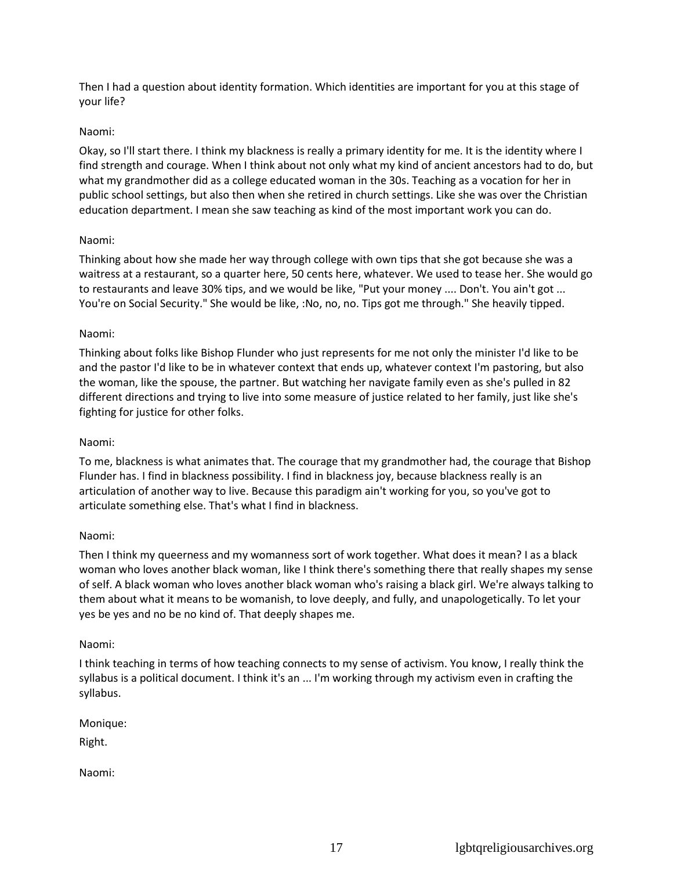Then I had a question about identity formation. Which identities are important for you at this stage of your life?

### Naomi:

Okay, so I'll start there. I think my blackness is really a primary identity for me. It is the identity where I find strength and courage. When I think about not only what my kind of ancient ancestors had to do, but what my grandmother did as a college educated woman in the 30s. Teaching as a vocation for her in public school settings, but also then when she retired in church settings. Like she was over the Christian education department. I mean she saw teaching as kind of the most important work you can do.

## Naomi:

Thinking about how she made her way through college with own tips that she got because she was a waitress at a restaurant, so a quarter here, 50 cents here, whatever. We used to tease her. She would go to restaurants and leave 30% tips, and we would be like, "Put your money .... Don't. You ain't got ... You're on Social Security." She would be like, :No, no, no. Tips got me through." She heavily tipped.

## Naomi:

Thinking about folks like Bishop Flunder who just represents for me not only the minister I'd like to be and the pastor I'd like to be in whatever context that ends up, whatever context I'm pastoring, but also the woman, like the spouse, the partner. But watching her navigate family even as she's pulled in 82 different directions and trying to live into some measure of justice related to her family, just like she's fighting for justice for other folks.

### Naomi:

To me, blackness is what animates that. The courage that my grandmother had, the courage that Bishop Flunder has. I find in blackness possibility. I find in blackness joy, because blackness really is an articulation of another way to live. Because this paradigm ain't working for you, so you've got to articulate something else. That's what I find in blackness.

### Naomi:

Then I think my queerness and my womanness sort of work together. What does it mean? I as a black woman who loves another black woman, like I think there's something there that really shapes my sense of self. A black woman who loves another black woman who's raising a black girl. We're always talking to them about what it means to be womanish, to love deeply, and fully, and unapologetically. To let your yes be yes and no be no kind of. That deeply shapes me.

### Naomi:

I think teaching in terms of how teaching connects to my sense of activism. You know, I really think the syllabus is a political document. I think it's an ... I'm working through my activism even in crafting the syllabus.

Monique:

Right.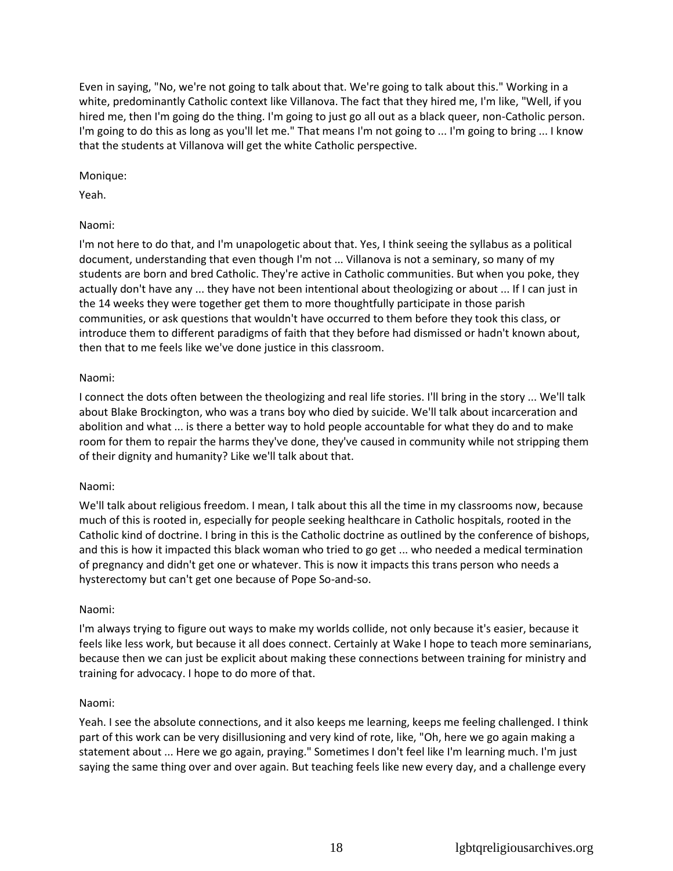Even in saying, "No, we're not going to talk about that. We're going to talk about this." Working in a white, predominantly Catholic context like Villanova. The fact that they hired me, I'm like, "Well, if you hired me, then I'm going do the thing. I'm going to just go all out as a black queer, non-Catholic person. I'm going to do this as long as you'll let me." That means I'm not going to ... I'm going to bring ... I know that the students at Villanova will get the white Catholic perspective.

### Monique:

Yeah.

## Naomi:

I'm not here to do that, and I'm unapologetic about that. Yes, I think seeing the syllabus as a political document, understanding that even though I'm not ... Villanova is not a seminary, so many of my students are born and bred Catholic. They're active in Catholic communities. But when you poke, they actually don't have any ... they have not been intentional about theologizing or about ... If I can just in the 14 weeks they were together get them to more thoughtfully participate in those parish communities, or ask questions that wouldn't have occurred to them before they took this class, or introduce them to different paradigms of faith that they before had dismissed or hadn't known about, then that to me feels like we've done justice in this classroom.

## Naomi:

I connect the dots often between the theologizing and real life stories. I'll bring in the story ... We'll talk about Blake Brockington, who was a trans boy who died by suicide. We'll talk about incarceration and abolition and what ... is there a better way to hold people accountable for what they do and to make room for them to repair the harms they've done, they've caused in community while not stripping them of their dignity and humanity? Like we'll talk about that.

## Naomi:

We'll talk about religious freedom. I mean, I talk about this all the time in my classrooms now, because much of this is rooted in, especially for people seeking healthcare in Catholic hospitals, rooted in the Catholic kind of doctrine. I bring in this is the Catholic doctrine as outlined by the conference of bishops, and this is how it impacted this black woman who tried to go get ... who needed a medical termination of pregnancy and didn't get one or whatever. This is now it impacts this trans person who needs a hysterectomy but can't get one because of Pope So-and-so.

## Naomi:

I'm always trying to figure out ways to make my worlds collide, not only because it's easier, because it feels like less work, but because it all does connect. Certainly at Wake I hope to teach more seminarians, because then we can just be explicit about making these connections between training for ministry and training for advocacy. I hope to do more of that.

## Naomi:

Yeah. I see the absolute connections, and it also keeps me learning, keeps me feeling challenged. I think part of this work can be very disillusioning and very kind of rote, like, "Oh, here we go again making a statement about ... Here we go again, praying." Sometimes I don't feel like I'm learning much. I'm just saying the same thing over and over again. But teaching feels like new every day, and a challenge every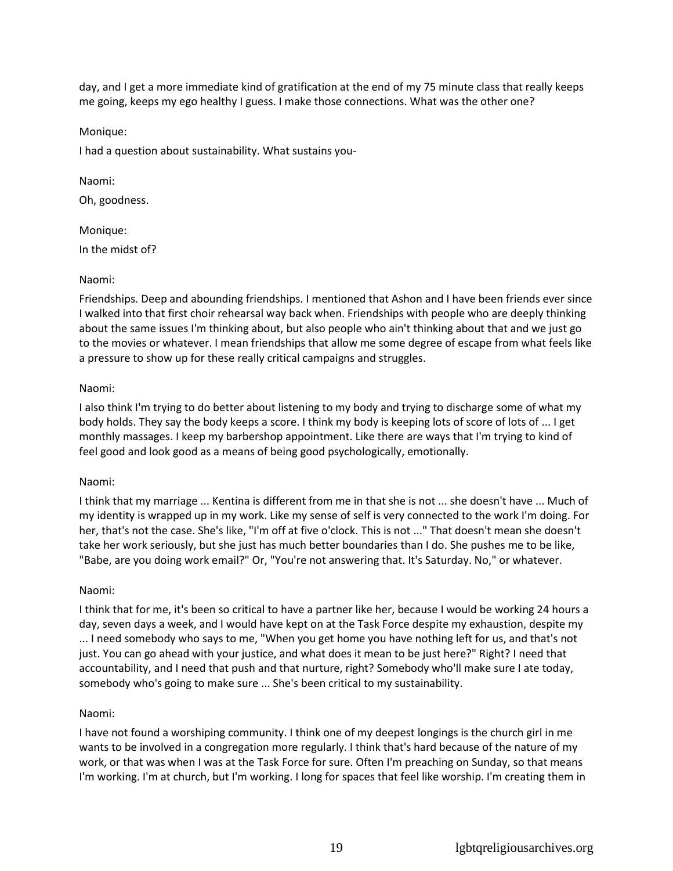day, and I get a more immediate kind of gratification at the end of my 75 minute class that really keeps me going, keeps my ego healthy I guess. I make those connections. What was the other one?

Monique:

I had a question about sustainability. What sustains you-

Naomi: Oh, goodness.

Monique: In the midst of?

## Naomi:

Friendships. Deep and abounding friendships. I mentioned that Ashon and I have been friends ever since I walked into that first choir rehearsal way back when. Friendships with people who are deeply thinking about the same issues I'm thinking about, but also people who ain't thinking about that and we just go to the movies or whatever. I mean friendships that allow me some degree of escape from what feels like a pressure to show up for these really critical campaigns and struggles.

## Naomi:

I also think I'm trying to do better about listening to my body and trying to discharge some of what my body holds. They say the body keeps a score. I think my body is keeping lots of score of lots of ... I get monthly massages. I keep my barbershop appointment. Like there are ways that I'm trying to kind of feel good and look good as a means of being good psychologically, emotionally.

### Naomi:

I think that my marriage ... Kentina is different from me in that she is not ... she doesn't have ... Much of my identity is wrapped up in my work. Like my sense of self is very connected to the work I'm doing. For her, that's not the case. She's like, "I'm off at five o'clock. This is not ..." That doesn't mean she doesn't take her work seriously, but she just has much better boundaries than I do. She pushes me to be like, "Babe, are you doing work email?" Or, "You're not answering that. It's Saturday. No," or whatever.

## Naomi:

I think that for me, it's been so critical to have a partner like her, because I would be working 24 hours a day, seven days a week, and I would have kept on at the Task Force despite my exhaustion, despite my ... I need somebody who says to me, "When you get home you have nothing left for us, and that's not just. You can go ahead with your justice, and what does it mean to be just here?" Right? I need that accountability, and I need that push and that nurture, right? Somebody who'll make sure I ate today, somebody who's going to make sure ... She's been critical to my sustainability.

## Naomi:

I have not found a worshiping community. I think one of my deepest longings is the church girl in me wants to be involved in a congregation more regularly. I think that's hard because of the nature of my work, or that was when I was at the Task Force for sure. Often I'm preaching on Sunday, so that means I'm working. I'm at church, but I'm working. I long for spaces that feel like worship. I'm creating them in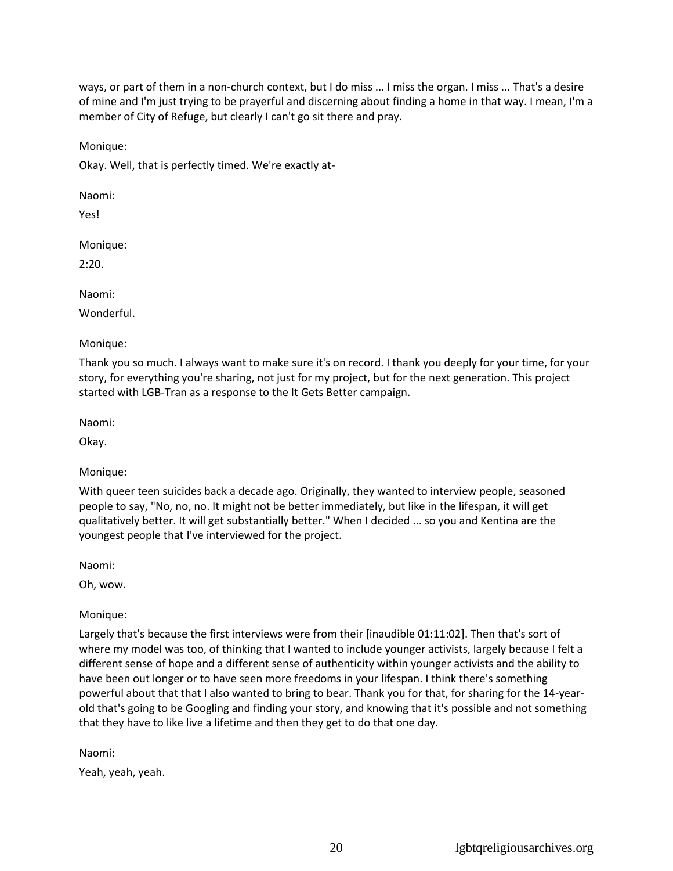ways, or part of them in a non-church context, but I do miss ... I miss the organ. I miss ... That's a desire of mine and I'm just trying to be prayerful and discerning about finding a home in that way. I mean, I'm a member of City of Refuge, but clearly I can't go sit there and pray.

Monique:

Okay. Well, that is perfectly timed. We're exactly at-

Naomi:

Yes!

Monique:

2:20.

Naomi:

Wonderful.

Monique:

Thank you so much. I always want to make sure it's on record. I thank you deeply for your time, for your story, for everything you're sharing, not just for my project, but for the next generation. This project started with LGB-Tran as a response to the It Gets Better campaign.

Naomi:

Okay.

## Monique:

With queer teen suicides back a decade ago. Originally, they wanted to interview people, seasoned people to say, "No, no, no. It might not be better immediately, but like in the lifespan, it will get qualitatively better. It will get substantially better." When I decided ... so you and Kentina are the youngest people that I've interviewed for the project.

Naomi:

Oh, wow.

Monique:

Largely that's because the first interviews were from their [inaudible 01:11:02]. Then that's sort of where my model was too, of thinking that I wanted to include younger activists, largely because I felt a different sense of hope and a different sense of authenticity within younger activists and the ability to have been out longer or to have seen more freedoms in your lifespan. I think there's something powerful about that that I also wanted to bring to bear. Thank you for that, for sharing for the 14-yearold that's going to be Googling and finding your story, and knowing that it's possible and not something that they have to like live a lifetime and then they get to do that one day.

Naomi:

Yeah, yeah, yeah.